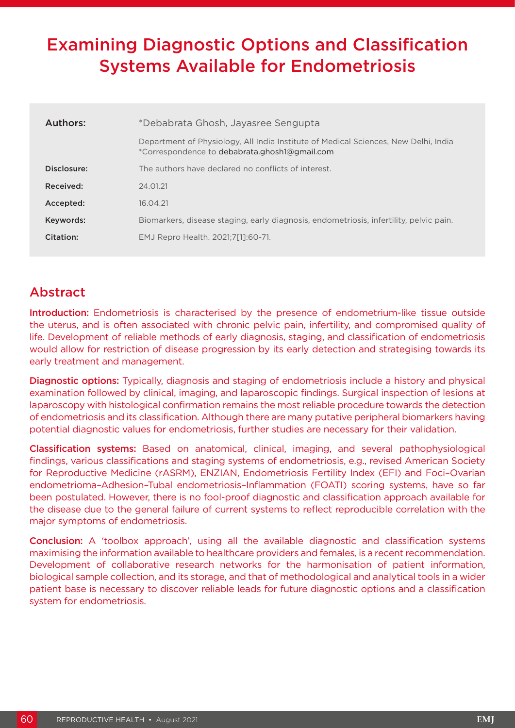# Examining Diagnostic Options and Classification Systems Available for Endometriosis

| Authors:    | *Debabrata Ghosh, Jayasree Sengupta                                                                                                  |
|-------------|--------------------------------------------------------------------------------------------------------------------------------------|
|             | Department of Physiology, All India Institute of Medical Sciences, New Delhi, India<br>*Correspondence to debabrata.ghosh1@gmail.com |
| Disclosure: | The authors have declared no conflicts of interest.                                                                                  |
| Received:   | 24.01.21                                                                                                                             |
| Accepted:   | 16.04.21                                                                                                                             |
| Keywords:   | Biomarkers, disease staging, early diagnosis, endometriosis, infertility, pelvic pain.                                               |
| Citation:   | EMJ Repro Health. 2021;7[1]:60-71.                                                                                                   |

## Abstract

Introduction: Endometriosis is characterised by the presence of endometrium-like tissue outside the uterus, and is often associated with chronic pelvic pain, infertility, and compromised quality of life. Development of reliable methods of early diagnosis, staging, and classification of endometriosis would allow for restriction of disease progression by its early detection and strategising towards its early treatment and management.

Diagnostic options: Typically, diagnosis and staging of endometriosis include a history and physical examination followed by clinical, imaging, and laparoscopic findings. Surgical inspection of lesions at laparoscopy with histological confirmation remains the most reliable procedure towards the detection of endometriosis and its classification. Although there are many putative peripheral biomarkers having potential diagnostic values for endometriosis, further studies are necessary for their validation.

Classification systems: Based on anatomical, clinical, imaging, and several pathophysiological findings, various classifications and staging systems of endometriosis, e.g., revised American Society for Reproductive Medicine (rASRM), ENZIAN, Endometriosis Fertility Index (EFI) and Foci–Ovarian endometrioma–Adhesion–Tubal endometriosis–Inflammation (FOATI) scoring systems, have so far been postulated. However, there is no fool-proof diagnostic and classification approach available for the disease due to the general failure of current systems to reflect reproducible correlation with the major symptoms of endometriosis.

Conclusion: A 'toolbox approach', using all the available diagnostic and classification systems maximising the information available to healthcare providers and females, is a recent recommendation. Development of collaborative research networks for the harmonisation of patient information, biological sample collection, and its storage, and that of methodological and analytical tools in a wider patient base is necessary to discover reliable leads for future diagnostic options and a classification system for endometriosis.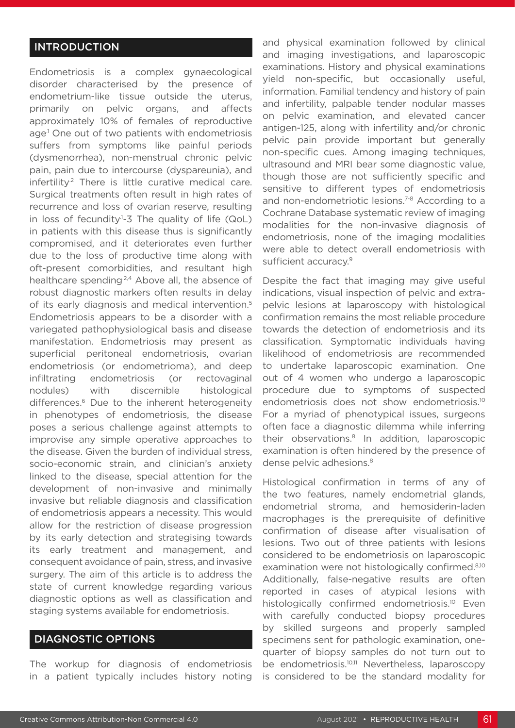#### INTRODUCTION

Endometriosis is a complex gynaecological disorder characterised by the presence of endometrium-like tissue outside the uterus, primarily on pelvic organs, and affects approximately 10% of females of reproductive age<sup>1</sup> One out of two patients with endometriosis suffers from symptoms like painful periods (dysmenorrhea), non-menstrual chronic pelvic pain, pain due to intercourse (dyspareunia), and infertility<sup>2</sup> There is little curative medical care. Surgical treatments often result in high rates of recurrence and loss of ovarian reserve, resulting in loss of fecundity<sup>1</sup>-3 The quality of life (QoL) in patients with this disease thus is significantly compromised, and it deteriorates even further due to the loss of productive time along with oft-present comorbidities, and resultant high healthcare spending<sup>2,4</sup> Above all, the absence of robust diagnostic markers often results in delay of its early diagnosis and medical intervention.5 Endometriosis appears to be a disorder with a variegated pathophysiological basis and disease manifestation. Endometriosis may present as superficial peritoneal endometriosis, ovarian endometriosis (or endometrioma), and deep infiltrating endometriosis (or rectovaginal nodules) with discernible histological differences.<sup>6</sup> Due to the inherent heterogeneity in phenotypes of endometriosis, the disease poses a serious challenge against attempts to improvise any simple operative approaches to the disease. Given the burden of individual stress, socio-economic strain, and clinician's anxiety linked to the disease, special attention for the development of non-invasive and minimally invasive but reliable diagnosis and classification of endometriosis appears a necessity. This would allow for the restriction of disease progression by its early detection and strategising towards its early treatment and management, and consequent avoidance of pain, stress, and invasive surgery. The aim of this article is to address the state of current knowledge regarding various diagnostic options as well as classification and staging systems available for endometriosis.

#### DIAGNOSTIC OPTIONS

The workup for diagnosis of endometriosis in a patient typically includes history noting

and physical examination followed by clinical and imaging investigations, and laparoscopic examinations. History and physical examinations yield non-specific, but occasionally useful, information. Familial tendency and history of pain and infertility, palpable tender nodular masses on pelvic examination, and elevated cancer antigen-125, along with infertility and/or chronic pelvic pain provide important but generally non-specific cues. Among imaging techniques, ultrasound and MRI bear some diagnostic value, though those are not sufficiently specific and sensitive to different types of endometriosis and non-endometriotic lesions.<sup>7-8</sup> According to a Cochrane Database systematic review of imaging modalities for the non-invasive diagnosis of endometriosis, none of the imaging modalities were able to detect overall endometriosis with sufficient accuracy.<sup>9</sup>

Despite the fact that imaging may give useful indications, visual inspection of pelvic and extrapelvic lesions at laparoscopy with histological confirmation remains the most reliable procedure towards the detection of endometriosis and its classification. Symptomatic individuals having likelihood of endometriosis are recommended to undertake laparoscopic examination. One out of 4 women who undergo a laparoscopic procedure due to symptoms of suspected endometriosis does not show endometriosis.<sup>10</sup> For a myriad of phenotypical issues, surgeons often face a diagnostic dilemma while inferring their observations.8 In addition, laparoscopic examination is often hindered by the presence of dense pelvic adhesions.<sup>8</sup>

Histological confirmation in terms of any of the two features, namely endometrial glands, endometrial stroma, and hemosiderin-laden macrophages is the prerequisite of definitive confirmation of disease after visualisation of lesions. Two out of three patients with lesions considered to be endometriosis on laparoscopic examination were not histologically confirmed.<sup>8,10</sup> Additionally, false-negative results are often reported in cases of atypical lesions with histologically confirmed endometriosis.<sup>10</sup> Even with carefully conducted biopsy procedures by skilled surgeons and properly sampled specimens sent for pathologic examination, onequarter of biopsy samples do not turn out to be endometriosis.<sup>10,11</sup> Nevertheless, laparoscopy is considered to be the standard modality for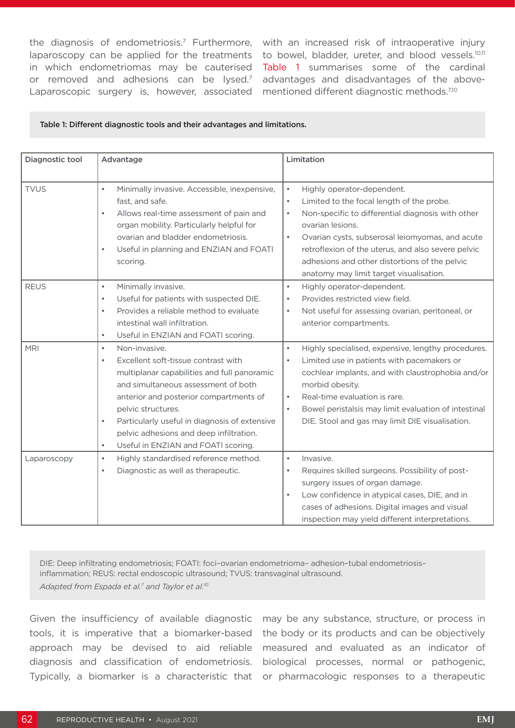the diagnosis of endometriosis.<sup>7</sup> Furthermore, laparoscopy can be applied for the treatments in which endometriomas may be cauterised or removed and adhesions can be lysed.<sup>7</sup> Laparoscopic surgery is, however, associated

with an increased risk of intraoperative injury to bowel, bladder, ureter, and blood vessels.<sup>10,11</sup> Table 1 summarises some of the cardinal advantages and disadvantages of the abovementioned different diagnostic methods.7,10

#### Table 1: Different diagnostic tools and their advantages and limitations.

| Diagnostic tool<br>Advantage |                                                                                                                                                                                                                                                                                                                                                                                                   | Limitation                                                                                                                                                                                                                                                                                                                                                                                                |  |  |
|------------------------------|---------------------------------------------------------------------------------------------------------------------------------------------------------------------------------------------------------------------------------------------------------------------------------------------------------------------------------------------------------------------------------------------------|-----------------------------------------------------------------------------------------------------------------------------------------------------------------------------------------------------------------------------------------------------------------------------------------------------------------------------------------------------------------------------------------------------------|--|--|
|                              |                                                                                                                                                                                                                                                                                                                                                                                                   |                                                                                                                                                                                                                                                                                                                                                                                                           |  |  |
| <b>TVUS</b>                  | Minimally invasive. Accessible, inexpensive,<br>$\bullet$<br>fast, and safe.<br>Allows real-time assessment of pain and<br>$\bullet$<br>organ mobility. Particularly helpful for<br>ovarian and bladder endometriosis.<br>Useful in planning and ENZIAN and FOATI<br>$\bullet$<br>scoring.                                                                                                        | $\bullet$<br>Highly operator-dependent.<br>Limited to the focal length of the probe.<br>$\bullet$<br>Non-specific to differential diagnosis with other<br>$\bullet$<br>ovarian lesions.<br>Ovarian cysts, subserosal leiomyomas, and acute<br>$\bullet$<br>retroflexion of the uterus, and also severe pelvic<br>adhesions and other distortions of the pelvic<br>anatomy may limit target visualisation. |  |  |
| <b>REUS</b>                  | Minimally invasive.<br>$\bullet$<br>Useful for patients with suspected DIE.<br>$\bullet$<br>Provides a reliable method to evaluate<br>$\bullet$<br>intestinal wall infiltration.<br>Useful in ENZIAN and FOATI scoring.<br>$\bullet$                                                                                                                                                              | Highly operator-dependent.<br>$\bullet$<br>Provides restricted view field.<br>$\bullet$<br>Not useful for assessing ovarian, peritoneal, or<br>$\bullet$<br>anterior compartments.                                                                                                                                                                                                                        |  |  |
| <b>MRI</b>                   | Non-invasive.<br>$\bullet$<br>Excellent soft-tissue contrast with<br>$\bullet$<br>multiplanar capabilities and full panoramic<br>and simultaneous assessment of both<br>anterior and posterior compartments of<br>pelvic structures.<br>Particularly useful in diagnosis of extensive<br>$\bullet$<br>pelvic adhesions and deep infiltration.<br>Useful in ENZIAN and FOATI scoring.<br>$\bullet$ | Highly specialised, expensive, lengthy procedures.<br>$\bullet$<br>Limited use in patients with pacemakers or<br>$\bullet$<br>cochlear implants, and with claustrophobia and/or<br>morbid obesity.<br>Real-time evaluation is rare.<br>$\bullet$<br>Bowel peristalsis may limit evaluation of intestinal<br>$\bullet$<br>DIE. Stool and gas may limit DIE visualisation.                                  |  |  |
| Laparoscopy                  | Highly standardised reference method.<br>$\bullet$<br>Diagnostic as well as therapeutic.<br>$\bullet$                                                                                                                                                                                                                                                                                             | Invasive.<br>$\bullet$<br>Requires skilled surgeons. Possibility of post-<br>$\bullet$<br>surgery issues of organ damage.<br>Low confidence in atypical cases, DIE, and in<br>$\bullet$<br>cases of adhesions. Digital images and visual<br>inspection may yield different interpretations.                                                                                                               |  |  |

DIE: Deep infiltrating endometriosis; FOATI: foci–ovarian endometrioma– adhesion–tubal endometriosis– inflammation; REUS: rectal endoscopic ultrasound; TVUS: transvaginal ultrasound. *Adapted from Espada et al.7 and Taylor et al.10*

Given the insufficiency of available diagnostic tools, it is imperative that a biomarker-based approach may be devised to aid reliable diagnosis and classification of endometriosis. Typically, a biomarker is a characteristic that

may be any substance, structure, or process in the body or its products and can be objectively measured and evaluated as an indicator of biological processes, normal or pathogenic, or pharmacologic responses to a therapeutic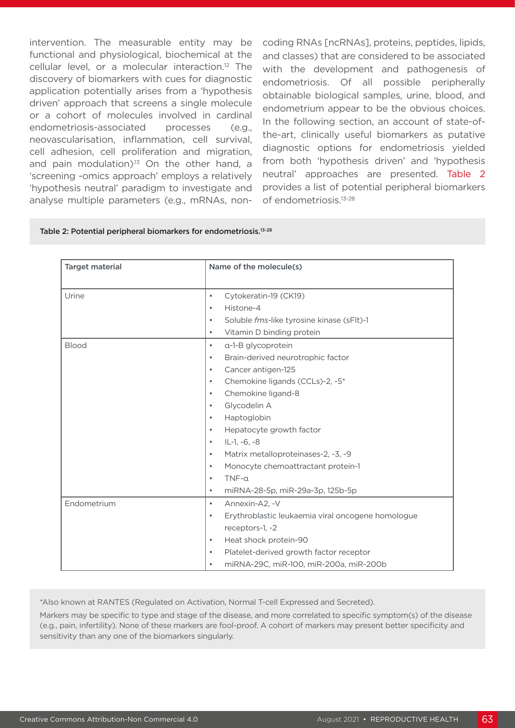intervention. The measurable entity may be functional and physiological, biochemical at the cellular level, or a molecular interaction.<sup>12</sup> The discovery of biomarkers with cues for diagnostic application potentially arises from a 'hypothesis driven' approach that screens a single molecule or a cohort of molecules involved in cardinal endometriosis-associated processes (e.g., neovascularisation, inflammation, cell survival, cell adhesion, cell proliferation and migration, and pain modulation)<sup>13</sup> On the other hand, a 'screening -omics approach' employs a relatively 'hypothesis neutral' paradigm to investigate and analyse multiple parameters (e.g., mRNAs, noncoding RNAs [ncRNAs], proteins, peptides, lipids, and classes) that are considered to be associated with the development and pathogenesis of endometriosis. Of all possible peripherally obtainable biological samples, urine, blood, and endometrium appear to be the obvious choices. In the following section, an account of state-ofthe-art, clinically useful biomarkers as putative diagnostic options for endometriosis yielded from both 'hypothesis driven' and 'hypothesis neutral' approaches are presented. Table 2 provides a list of potential peripheral biomarkers of endometriosis.13-28

#### Table 2: Potential peripheral biomarkers for endometriosis.13-28

| <b>Target material</b> | Name of the molecule(s)                                                                                                                                                                                                                                                                                                                                                                                                                                                                                                       |
|------------------------|-------------------------------------------------------------------------------------------------------------------------------------------------------------------------------------------------------------------------------------------------------------------------------------------------------------------------------------------------------------------------------------------------------------------------------------------------------------------------------------------------------------------------------|
| Urine                  | Cytokeratin-19 (CK19)<br>$\bullet$<br>Histone-4<br>$\bullet$<br>Soluble fms-like tyrosine kinase (sFlt)-1<br>$\bullet$<br>Vitamin D binding protein<br>$\bullet$                                                                                                                                                                                                                                                                                                                                                              |
| <b>Blood</b>           | a-1-B glycoprotein<br>$\bullet$<br>Brain-derived neurotrophic factor<br>$\bullet$<br>Cancer antigen-125<br>$\bullet$<br>Chemokine ligands (CCLs)-2, -5*<br>$\bullet$<br>Chemokine ligand-8<br>$\bullet$<br>Glycodelin A<br>$\bullet$<br>Haptoglobin<br>$\bullet$<br>Hepatocyte growth factor<br>$\bullet$<br>$IL-1, -6, -8$<br>$\bullet$<br>Matrix metalloproteinases-2, -3, -9<br>$\bullet$<br>Monocyte chemoattractant protein-1<br>$\bullet$<br>$TNF-\alpha$<br>$\bullet$<br>miRNA-28-5p, miR-29a-3p, 125b-5p<br>$\bullet$ |
| Endometrium            | Annexin-A2, -V<br>$\bullet$<br>Erythroblastic leukaemia viral oncogene homologue<br>$\bullet$<br>receptors-1, -2<br>Heat shock protein-90<br>$\bullet$<br>Platelet-derived growth factor receptor<br>$\bullet$<br>miRNA-29C, miR-100, miR-200a, miR-200b<br>$\bullet$                                                                                                                                                                                                                                                         |

\*Also known at RANTES (Regulated on Activation, Normal T-cell Expressed and Secreted).

Markers may be specific to type and stage of the disease, and more correlated to specific symptom(s) of the disease (e.g., pain, infertility). None of these markers are fool-proof. A cohort of markers may present better specificity and sensitivity than any one of the biomarkers singularly.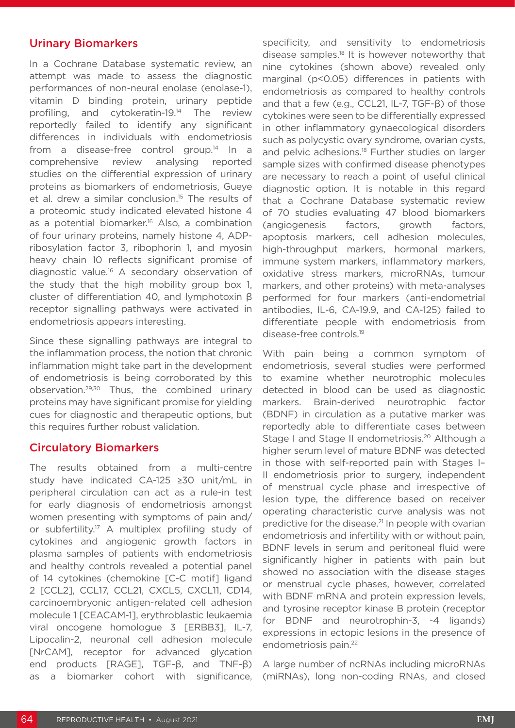#### Urinary Biomarkers

In a Cochrane Database systematic review, an attempt was made to assess the diagnostic performances of non-neural enolase (enolase-1), vitamin D binding protein, urinary peptide profiling, and cytokeratin-19.14 The review reportedly failed to identify any significant differences in individuals with endometriosis from a disease-free control group. $14$  In a comprehensive review analysing reported studies on the differential expression of urinary proteins as biomarkers of endometriosis, Gueye et al. drew a similar conclusion.<sup>15</sup> The results of a proteomic study indicated elevated histone 4 as a potential biomarker.<sup>16</sup> Also, a combination of four urinary proteins, namely histone 4, ADPribosylation factor 3, ribophorin 1, and myosin heavy chain 10 reflects significant promise of diagnostic value.16 A secondary observation of the study that the high mobility group box 1, cluster of differentiation 40, and lymphotoxin β receptor signalling pathways were activated in endometriosis appears interesting.

Since these signalling pathways are integral to the inflammation process, the notion that chronic inflammation might take part in the development of endometriosis is being corroborated by this observation.29,30 Thus, the combined urinary proteins may have significant promise for yielding cues for diagnostic and therapeutic options, but this requires further robust validation.

#### Circulatory Biomarkers

The results obtained from a multi-centre study have indicated CA-125 ≥30 unit/mL in peripheral circulation can act as a rule-in test for early diagnosis of endometriosis amongst women presenting with symptoms of pain and/ or subfertility.<sup>17</sup> A multiplex profiling study of cytokines and angiogenic growth factors in plasma samples of patients with endometriosis and healthy controls revealed a potential panel of 14 cytokines (chemokine [C-C motif] ligand 2 [CCL2], CCL17, CCL21, CXCL5, CXCL11, CD14, carcinoembryonic antigen-related cell adhesion molecule 1 [CEACAM-1], erythroblastic leukaemia viral oncogene homologue 3 [ERBB3], IL-7, Lipocalin-2, neuronal cell adhesion molecule [NrCAM], receptor for advanced glycation end products [RAGE], TGF-β, and TNF-β) as a biomarker cohort with significance, specificity, and sensitivity to endometriosis disease samples.18 It is however noteworthy that nine cytokines (shown above) revealed only marginal (p<0.05) differences in patients with endometriosis as compared to healthy controls and that a few (e.g., CCL21, IL-7, TGF-β) of those cytokines were seen to be differentially expressed in other inflammatory gynaecological disorders such as polycystic ovary syndrome, ovarian cysts, and pelvic adhesions.<sup>18</sup> Further studies on larger sample sizes with confirmed disease phenotypes are necessary to reach a point of useful clinical diagnostic option. It is notable in this regard that a Cochrane Database systematic review of 70 studies evaluating 47 blood biomarkers (angiogenesis factors, growth factors, apoptosis markers, cell adhesion molecules, high-throughput markers, hormonal markers, immune system markers, inflammatory markers, oxidative stress markers, microRNAs, tumour markers, and other proteins) with meta-analyses performed for four markers (anti-endometrial antibodies, IL-6, CA-19.9, and CA-125) failed to differentiate people with endometriosis from disease-free controls.19

With pain being a common symptom of endometriosis, several studies were performed to examine whether neurotrophic molecules detected in blood can be used as diagnostic markers. Brain-derived neurotrophic factor (BDNF) in circulation as a putative marker was reportedly able to differentiate cases between Stage I and Stage II endometriosis.<sup>20</sup> Although a higher serum level of mature BDNF was detected in those with self-reported pain with Stages I– II endometriosis prior to surgery, independent of menstrual cycle phase and irrespective of lesion type, the difference based on receiver operating characteristic curve analysis was not predictive for the disease.<sup>21</sup> In people with ovarian endometriosis and infertility with or without pain, BDNF levels in serum and peritoneal fluid were significantly higher in patients with pain but showed no association with the disease stages or menstrual cycle phases, however, correlated with BDNF mRNA and protein expression levels, and tyrosine receptor kinase B protein (receptor for BDNF and neurotrophin-3, -4 ligands) expressions in ectopic lesions in the presence of endometriosis pain.<sup>22</sup>

A large number of ncRNAs including microRNAs (miRNAs), long non-coding RNAs, and closed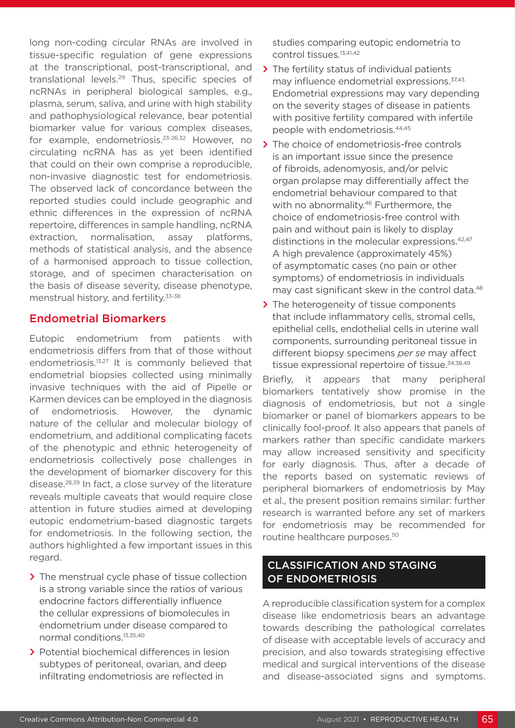long non-coding circular RNAs are involved in tissue-specific regulation of gene expressions at the transcriptional, post-transcriptional, and translational levels.29 Thus, specific species of ncRNAs in peripheral biological samples, e.g., plasma, serum, saliva, and urine with high stability and pathophysiological relevance, bear potential biomarker value for various complex diseases, for example, endometriosis.23-26,32 However, no circulating ncRNA has as yet been identified that could on their own comprise a reproducible, non-invasive diagnostic test for endometriosis. The observed lack of concordance between the reported studies could include geographic and ethnic differences in the expression of ncRNA repertoire, differences in sample handling, ncRNA extraction, normalisation, assay platforms, methods of statistical analysis, and the absence of a harmonised approach to tissue collection, storage, and of specimen characterisation on the basis of disease severity, disease phenotype, menstrual history, and fertility.33-38

## Endometrial Biomarkers

Eutopic endometrium from patients with endometriosis differs from that of those without endometriosis.<sup>13,27</sup> It is commonly believed that endometrial biopsies collected using minimally invasive techniques with the aid of Pipelle or Karmen devices can be employed in the diagnosis of endometriosis. However, the dynamic nature of the cellular and molecular biology of endometrium, and additional complicating facets of the phenotypic and ethnic heterogeneity of endometriosis collectively pose challenges in the development of biomarker discovery for this disease.28,39 In fact, a close survey of the literature reveals multiple caveats that would require close attention in future studies aimed at developing eutopic endometrium-based diagnostic targets for endometriosis. In the following section, the authors highlighted a few important issues in this regard.

- **>** The menstrual cycle phase of tissue collection is a strong variable since the ratios of various endocrine factors differentially influence the cellular expressions of biomolecules in endometrium under disease compared to normal conditions.13,35,40
- **>** Potential biochemical differences in lesion subtypes of peritoneal, ovarian, and deep infiltrating endometriosis are reflected in

studies comparing eutopic endometria to control tissues.<sup>13,41,42</sup>

- **>** The fertility status of individual patients may influence endometrial expressions.<sup>37,43</sup> Endometrial expressions may vary depending on the severity stages of disease in patients with positive fertility compared with infertile people with endometriosis.44,45
- **>** The choice of endometriosis-free controls is an important issue since the presence of fibroids, adenomyosis, and/or pelvic organ prolapse may differentially affect the endometrial behaviour compared to that with no abnormality.<sup>46</sup> Furthermore, the choice of endometriosis-free control with pain and without pain is likely to display distinctions in the molecular expressions.<sup>42,47</sup> A high prevalence (approximately 45%) of asymptomatic cases (no pain or other symptoms) of endometriosis in individuals may cast significant skew in the control data.<sup>48</sup>
- **>** The heterogeneity of tissue components that include inflammatory cells, stromal cells, epithelial cells, endothelial cells in uterine wall components, surrounding peritoneal tissue in different biopsy specimens *per se* may affect tissue expressional repertoire of tissue.34,38,49

Briefly, it appears that many peripheral biomarkers tentatively show promise in the diagnosis of endometriosis, but not a single biomarker or panel of biomarkers appears to be clinically fool-proof. It also appears that panels of markers rather than specific candidate markers may allow increased sensitivity and specificity for early diagnosis. Thus, after a decade of the reports based on systematic reviews of peripheral biomarkers of endometriosis by May et al., the present position remains similar: further research is warranted before any set of markers for endometriosis may be recommended for routine healthcare purposes.<sup>50</sup>

## CLASSIFICATION AND STAGING OF ENDOMETRIOSIS

A reproducible classification system for a complex disease like endometriosis bears an advantage towards describing the pathological correlates of disease with acceptable levels of accuracy and precision, and also towards strategising effective medical and surgical interventions of the disease and disease-associated signs and symptoms.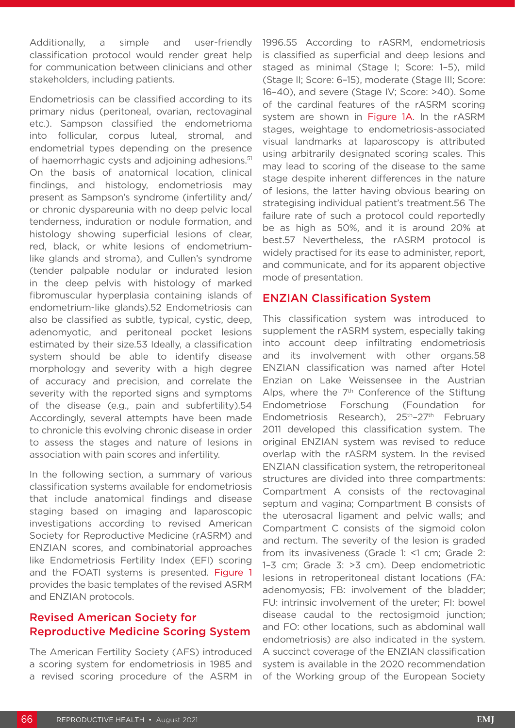Additionally, a simple and user-friendly classification protocol would render great help for communication between clinicians and other stakeholders, including patients.

Endometriosis can be classified according to its primary nidus (peritoneal, ovarian, rectovaginal etc.). Sampson classified the endometrioma into follicular, corpus luteal, stromal, and endometrial types depending on the presence of haemorrhagic cysts and adjoining adhesions.<sup>51</sup> On the basis of anatomical location, clinical findings, and histology, endometriosis may present as Sampson's syndrome (infertility and/ or chronic dyspareunia with no deep pelvic local tenderness, induration or nodule formation, and histology showing superficial lesions of clear, red, black, or white lesions of endometriumlike glands and stroma), and Cullen's syndrome (tender palpable nodular or indurated lesion in the deep pelvis with histology of marked fibromuscular hyperplasia containing islands of endometrium-like glands).52 Endometriosis can also be classified as subtle, typical, cystic, deep, adenomyotic, and peritoneal pocket lesions estimated by their size.53 Ideally, a classification system should be able to identify disease morphology and severity with a high degree of accuracy and precision, and correlate the severity with the reported signs and symptoms of the disease (e.g., pain and subfertility).54 Accordingly, several attempts have been made to chronicle this evolving chronic disease in order to assess the stages and nature of lesions in association with pain scores and infertility.

In the following section, a summary of various classification systems available for endometriosis that include anatomical findings and disease staging based on imaging and laparoscopic investigations according to revised American Society for Reproductive Medicine (rASRM) and ENZIAN scores, and combinatorial approaches like Endometriosis Fertility Index (EFI) scoring and the FOATI systems is presented. Figure 1 provides the basic templates of the revised ASRM and ENZIAN protocols.

## Revised American Society for Reproductive Medicine Scoring System

The American Fertility Society (AFS) introduced a scoring system for endometriosis in 1985 and a revised scoring procedure of the ASRM in 1996.55 According to rASRM, endometriosis is classified as superficial and deep lesions and staged as minimal (Stage I; Score: 1–5), mild (Stage II; Score: 6–15), moderate (Stage III; Score: 16–40), and severe (Stage IV; Score: >40). Some of the cardinal features of the rASRM scoring system are shown in Figure 1A. In the rASRM stages, weightage to endometriosis-associated visual landmarks at laparoscopy is attributed using arbitrarily designated scoring scales. This may lead to scoring of the disease to the same stage despite inherent differences in the nature of lesions, the latter having obvious bearing on strategising individual patient's treatment.56 The failure rate of such a protocol could reportedly be as high as 50%, and it is around 20% at best.57 Nevertheless, the rASRM protocol is widely practised for its ease to administer, report, and communicate, and for its apparent objective mode of presentation.

#### ENZIAN Classification System

This classification system was introduced to supplement the rASRM system, especially taking into account deep infiltrating endometriosis and its involvement with other organs.58 ENZIAN classification was named after Hotel Enzian on Lake Weissensee in the Austrian Alps, where the  $7<sup>th</sup>$  Conference of the Stiftung Endometriose Forschung (Foundation for Endometriosis Research), 25<sup>th</sup>–27<sup>th</sup> February 2011 developed this classification system. The original ENZIAN system was revised to reduce overlap with the rASRM system. In the revised ENZIAN classification system, the retroperitoneal structures are divided into three compartments: Compartment A consists of the rectovaginal septum and vagina; Compartment B consists of the uterosacral ligament and pelvic walls; and Compartment C consists of the sigmoid colon and rectum. The severity of the lesion is graded from its invasiveness (Grade 1: <1 cm; Grade 2: 1–3 cm; Grade 3: >3 cm). Deep endometriotic lesions in retroperitoneal distant locations (FA: adenomyosis; FB: involvement of the bladder; FU: intrinsic involvement of the ureter; FI: bowel disease caudal to the rectosigmoid junction; and FO: other locations, such as abdominal wall endometriosis) are also indicated in the system. A succinct coverage of the ENZIAN classification system is available in the 2020 recommendation of the Working group of the European Society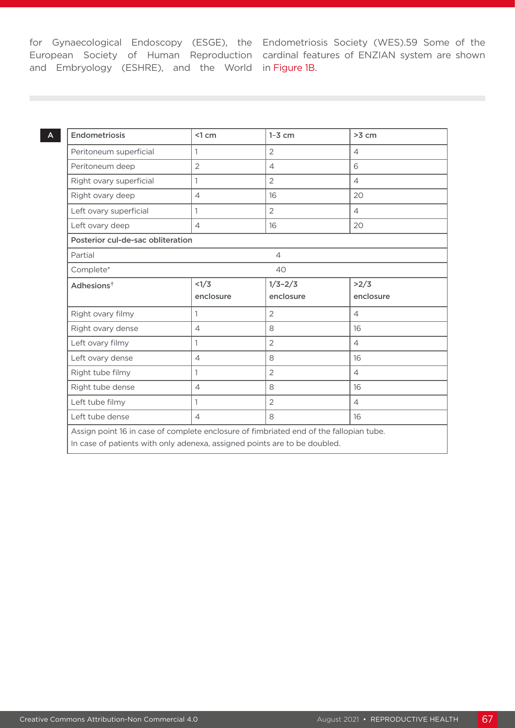and Embryology (ESHRE), and the World in Figure 1B.

for Gynaecological Endoscopy (ESGE), the Endometriosis Society (WES).59 Some of the European Society of Human Reproduction cardinal features of ENZIAN system are shown

| Endometriosis                     | $<1$ cm        | $1-3$ cm       | >3 cm          |  |  |
|-----------------------------------|----------------|----------------|----------------|--|--|
| Peritoneum superficial            | 1              | $\overline{2}$ | $\overline{4}$ |  |  |
| Peritoneum deep                   | $\overline{2}$ | $\overline{4}$ | 6              |  |  |
| Right ovary superficial           | 1              | $\overline{2}$ | $\overline{4}$ |  |  |
| Right ovary deep                  | $\overline{4}$ | 16             | 20             |  |  |
| Left ovary superficial            | 1              | $\overline{2}$ | $\overline{4}$ |  |  |
| Left ovary deep                   | $\overline{4}$ | 16             | 20             |  |  |
| Posterior cul-de-sac obliteration |                |                |                |  |  |
| $\overline{4}$<br>Partial         |                |                |                |  |  |
| 40<br>Complete*                   |                |                |                |  |  |
| Adhesions <sup>+</sup>            | 1/3            | $1/3 - 2/3$    | >2/3           |  |  |
|                                   |                |                |                |  |  |
|                                   | enclosure      | enclosure      | enclosure      |  |  |
| Right ovary filmy                 | 1              | $\overline{2}$ | $\overline{4}$ |  |  |
| Right ovary dense                 | $\overline{4}$ | 8              | 16             |  |  |
| Left ovary filmy                  | 1              | $\overline{2}$ | $\overline{4}$ |  |  |
| Left ovary dense                  | $\overline{4}$ | 8              | 16             |  |  |
| Right tube filmy                  | 1              | $\overline{2}$ | $\overline{4}$ |  |  |
| Right tube dense                  | $\overline{4}$ | 8              | 16             |  |  |
| Left tube filmy                   | 1              | $\overline{2}$ | $\overline{4}$ |  |  |
| Left tube dense                   | $\overline{4}$ | 8              | 16             |  |  |

In case of patients with only adenexa, assigned points are to be doubled.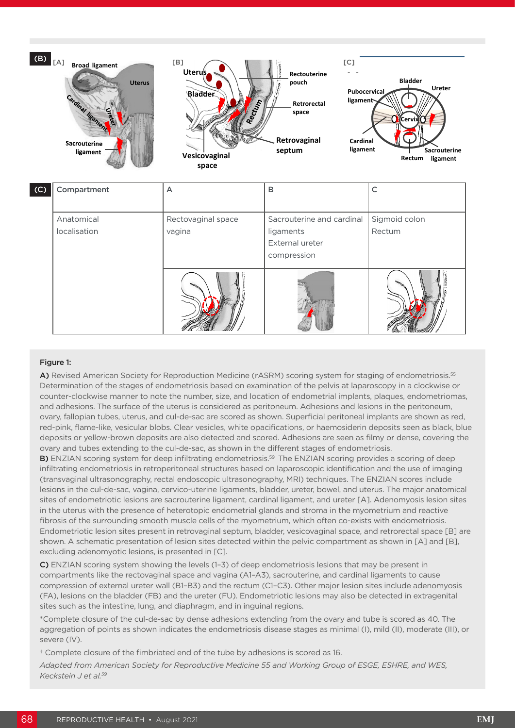

#### Figure 1:

A) Revised American Society for Reproduction Medicine (rASRM) scoring system for staging of endometriosis.<sup>55</sup> Determination of the stages of endometriosis based on examination of the pelvis at laparoscopy in a clockwise or counter-clockwise manner to note the number, size, and location of endometrial implants, plaques, endometriomas, and adhesions. The surface of the uterus is considered as peritoneum. Adhesions and lesions in the peritoneum, ovary, fallopian tubes, uterus, and cul-de-sac are scored as shown. Superficial peritoneal implants are shown as red, red-pink, flame-like, vesicular blobs. Clear vesicles, white opacifications, or haemosiderin deposits seen as black, blue deposits or yellow-brown deposits are also detected and scored. Adhesions are seen as filmy or dense, covering the ovary and tubes extending to the cul-de-sac, as shown in the different stages of endometriosis.

B) ENZIAN scoring system for deep infiltrating endometriosis.<sup>59</sup> The ENZIAN scoring provides a scoring of deep infiltrating endometriosis in retroperitoneal structures based on laparoscopic identification and the use of imaging (transvaginal ultrasonography, rectal endoscopic ultrasonography, MRI) techniques. The ENZIAN scores include lesions in the cul-de-sac, vagina, cervico-uterine ligaments, bladder, ureter, bowel, and uterus. The major anatomical sites of endometriotic lesions are sacrouterine ligament, cardinal ligament, and ureter [A]. Adenomyosis lesion sites in the uterus with the presence of heterotopic endometrial glands and stroma in the myometrium and reactive fibrosis of the surrounding smooth muscle cells of the myometrium, which often co-exists with endometriosis. Endometriotic lesion sites present in retrovaginal septum, bladder, vesicovaginal space, and retrorectal space [B] are shown. A schematic presentation of lesion sites detected within the pelvic compartment as shown in [A] and [B], excluding adenomyotic lesions, is presented in [C].

C) ENZIAN scoring system showing the levels (1–3) of deep endometriosis lesions that may be present in compartments like the rectovaginal space and vagina (A1–A3), sacrouterine, and cardinal ligaments to cause compression of external ureter wall (B1–B3) and the rectum (C1–C3). Other major lesion sites include adenomyosis (FA), lesions on the bladder (FB) and the ureter (FU). Endometriotic lesions may also be detected in extragenital sites such as the intestine, lung, and diaphragm, and in inguinal regions.

\*Complete closure of the cul-de-sac by dense adhesions extending from the ovary and tube is scored as 40. The aggregation of points as shown indicates the endometriosis disease stages as minimal (I), mild (II), moderate (III), or severe (IV).

† Complete closure of the fimbriated end of the tube by adhesions is scored as 16.

*Adapted from American Society for Reproductive Medicine 55 and Working Group of ESGE, ESHRE, and WES, Keckstein J et al.59*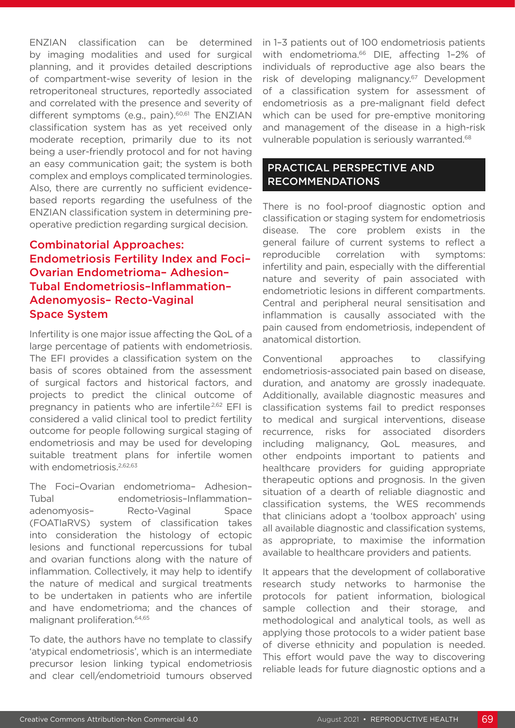ENZIAN classification can be determined by imaging modalities and used for surgical planning, and it provides detailed descriptions of compartment-wise severity of lesion in the retroperitoneal structures, reportedly associated and correlated with the presence and severity of different symptoms (e.g., pain).<sup>60,61</sup> The ENZIAN classification system has as yet received only moderate reception, primarily due to its not being a user-friendly protocol and for not having an easy communication gait; the system is both complex and employs complicated terminologies. Also, there are currently no sufficient evidencebased reports regarding the usefulness of the ENZIAN classification system in determining preoperative prediction regarding surgical decision.

## Combinatorial Approaches: Endometriosis Fertility Index and Foci– Ovarian Endometrioma– Adhesion– Tubal Endometriosis–Inflammation– Adenomyosis– Recto-Vaginal Space System

Infertility is one major issue affecting the QoL of a large percentage of patients with endometriosis. The EFI provides a classification system on the basis of scores obtained from the assessment of surgical factors and historical factors, and projects to predict the clinical outcome of pregnancy in patients who are infertile<sup>2,62</sup> EFI is considered a valid clinical tool to predict fertility outcome for people following surgical staging of endometriosis and may be used for developing suitable treatment plans for infertile women with endometriosis.<sup>2,62,63</sup>

The Foci–Ovarian endometrioma– Adhesion– Tubal endometriosis–Inflammation– adenomyosis– Recto-Vaginal Space (FOATIaRVS) system of classification takes into consideration the histology of ectopic lesions and functional repercussions for tubal and ovarian functions along with the nature of inflammation. Collectively, it may help to identify the nature of medical and surgical treatments to be undertaken in patients who are infertile and have endometrioma; and the chances of malignant proliferation.64,65

To date, the authors have no template to classify 'atypical endometriosis', which is an intermediate precursor lesion linking typical endometriosis and clear cell/endometrioid tumours observed in 1–3 patients out of 100 endometriosis patients with endometrioma.<sup>66</sup> DIE, affecting 1-2% of individuals of reproductive age also bears the risk of developing malignancy.<sup>67</sup> Development of a classification system for assessment of endometriosis as a pre-malignant field defect which can be used for pre-emptive monitoring and management of the disease in a high-risk vulnerable population is seriously warranted.<sup>68</sup>

#### PRACTICAL PERSPECTIVE AND RECOMMENDATIONS

There is no fool-proof diagnostic option and classification or staging system for endometriosis disease. The core problem exists in the general failure of current systems to reflect a reproducible correlation with symptoms: infertility and pain, especially with the differential nature and severity of pain associated with endometriotic lesions in different compartments. Central and peripheral neural sensitisation and inflammation is causally associated with the pain caused from endometriosis, independent of anatomical distortion.

Conventional approaches to classifying endometriosis-associated pain based on disease, duration, and anatomy are grossly inadequate. Additionally, available diagnostic measures and classification systems fail to predict responses to medical and surgical interventions, disease recurrence, risks for associated disorders including malignancy, QoL measures, and other endpoints important to patients and healthcare providers for guiding appropriate therapeutic options and prognosis. In the given situation of a dearth of reliable diagnostic and classification systems, the WES recommends that clinicians adopt a 'toolbox approach' using all available diagnostic and classification systems, as appropriate, to maximise the information available to healthcare providers and patients.

It appears that the development of collaborative research study networks to harmonise the protocols for patient information, biological sample collection and their storage, and methodological and analytical tools, as well as applying those protocols to a wider patient base of diverse ethnicity and population is needed. This effort would pave the way to discovering reliable leads for future diagnostic options and a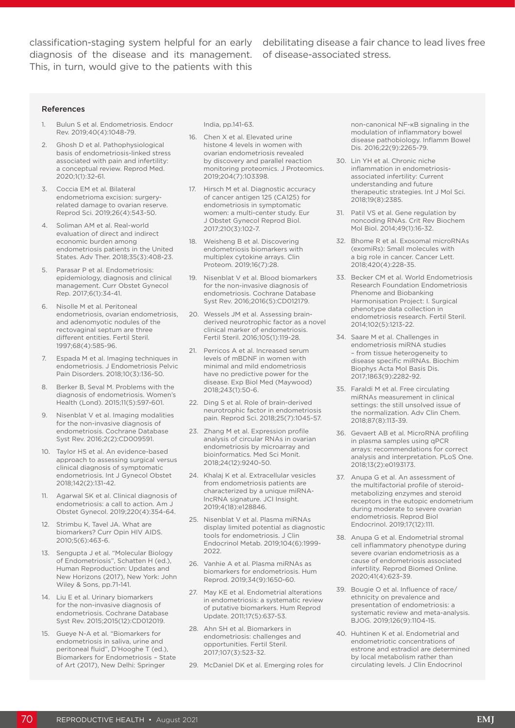classification-staging system helpful for an early debilitating disease a fair chance to lead lives free diagnosis of the disease and its management. of disease-associated stress. This, in turn, would give to the patients with this

#### References

- 1. Bulun S et al. Endometriosis. Endocr Rev. 2019;40(4):1048-79.
- Ghosh D et al. Pathophysiological basis of endometriosis-linked stress associated with pain and infertility: a conceptual review. Reprod Med. 2020;1(1):32-61.
- 3. Coccia EM et al. Bilateral endometrioma excision: surgeryrelated damage to ovarian reserve. Reprod Sci. 2019;26(4):543-50.
- 4. Soliman AM et al. Real-world evaluation of direct and indirect economic burden among endometriosis patients in the United States. Adv Ther. 2018;35(3):408-23.
- 5. Parasar P et al. Endometriosis: epidemiology, diagnosis and clinical management. Curr Obstet Gynecol Rep. 2017;6(1):34-41.
- 6. Nisolle M et al. Peritoneal endometriosis, ovarian endometriosis, and adenomyotic nodules of the rectovaginal septum are three different entities. Fertil Steril. 1997;68(4):585-96.
- Espada M et al. Imaging techniques in endometriosis. J Endometriosis Pelvic Pain Disorders. 2018;10(3):136-50.
- 8. Berker B, Seval M. Problems with the diagnosis of endometriosis. Women's Health (Lond). 2015;11(5):597-601.
- 9. Nisenblat V et al. Imaging modalities for the non-invasive diagnosis of endometriosis. Cochrane Database Syst Rev. 2016;2(2):CD009591.
- 10. Taylor HS et al. An evidence-based approach to assessing surgical versus clinical diagnosis of symptomatic endometriosis. Int J Gynecol Obstet 2018;142(2):131-42.
- 11. Agarwal SK et al. Clinical diagnosis of endometriosis: a call to action. Am J Obstet Gynecol. 2019;220(4):354-64.
- 12. Strimbu K, Tavel JA. What are biomarkers? Curr Opin HIV AIDS. 2010;5(6):463-6.
- 13. Sengupta J et al. "Molecular Biology of Endometriosis", Schatten H (ed.), Human Reproduction: Updates and New Horizons (2017), New York: John Wiley & Sons, pp.71-141.
- 14. Liu E et al. Urinary biomarkers for the non-invasive diagnosis of endometriosis. Cochrane Database Syst Rev. 2015;2015(12):CD012019.
- 15. Gueye N-A et al. "Biomarkers for endometriosis in saliva, urine and peritoneal fluid", D'Hooghe T (ed.), Biomarkers for Endometriosis – State of Art (2017), New Delhi: Springer

India, pp.141-63.

- 16. Chen X et al. Elevated urine histone 4 levels in women with ovarian endometriosis revealed by discovery and parallel reaction monitoring proteomics. J Proteomics. 2019;204(7):103398.
- 17. Hirsch M et al. Diagnostic accuracy of cancer antigen 125 (CA125) for endometriosis in symptomatic women: a multi-center study. Eur J Obstet Gynecol Reprod Biol. 2017;210(3):102-7.
- 18. Weisheng B et al. Discovering endometriosis biomarkers with multiplex cytokine arrays. Clin Proteom. 2019;16(7):28.
- 19. Nisenblat V et al. Blood biomarkers for the non-invasive diagnosis of endometriosis. Cochrane Database Syst Rev. 2016;2016(5):CD012179.
- 20. Wessels JM et al. Assessing brainderived neurotrophic factor as a novel clinical marker of endometriosis. Fertil Steril. 2016;105(1):119-28.
- 21. Perricos A et al. Increased serum levels of mBDNF in women with minimal and mild endometriosis have no predictive power for the disease. Exp Biol Med (Maywood) 2018;243(1):50-6.
- 22. Ding S et al. Role of brain-derived neurotrophic factor in endometriosis pain. Reprod Sci. 2018;25(7):1045-57.
- 23. Zhang M et al. Expression profile analysis of circular RNAs in ovarian endometriosis by microarray and bioinformatics. Med Sci Monit. 2018;24(12):9240-50.
- 24. Khalaj K et al. Extracellular vesicles from endometriosis patients are characterized by a unique miRNAlncRNA signature. JCI Insight. 2019;4(18):e128846.
- 25. Nisenblat V et al. Plasma miRNAs display limited potential as diagnostic tools for endometriosis. J Clin Endocrinol Metab. 2019;104(6):1999- 2022.
- 26. Vanhie A et al. Plasma miRNAs as biomarkers for endometriosis. Hum Reprod. 2019;34(9):1650-60.
- 27. May KE et al. Endometrial alterations in endometriosis: a systematic review of putative biomarkers. Hum Reprod Update. 2011;17(5):637-53.
- 28. Ahn SH et al. Biomarkers in endometriosis: challenges and opportunities. Fertil Steril. 2017;107(3):523-32.
- 29. McDaniel DK et al. Emerging roles for

non-canonical NF-κB signaling in the modulation of inflammatory bowel disease pathobiology. Inflamm Bowel Dis. 2016;22(9):2265-79.

- 30. Lin YH et al. Chronic niche inflammation in endometriosisassociated infertility: Current understanding and future therapeutic strategies. Int J Mol Sci. 2018;19(8):2385.
- 31. Patil VS et al. Gene regulation by noncoding RNAs. Crit Rev Biochem Mol Biol. 2014;49(1):16-32.
- 32. Bhome R et al. Exosomal microRNAs (exomiRs): Small molecules with a big role in cancer. Cancer Lett. 2018;420(4):228-35.
- 33. Becker CM et al. World Endometriosis Research Foundation Endometriosis Phenome and Biobanking Harmonisation Project: I. Surgical phenotype data collection in endometriosis research. Fertil Steril. 2014;102(5):1213-22.
- 34. Saare M et al. Challenges in endometriosis miRNA studies – from tissue heterogeneity to disease specific miRNAs. Biochim Biophys Acta Mol Basis Dis. 2017;1863(9):2282-92.
- 35. Faraldi M et al. Free circulating miRNAs measurement in clinical settings: the still unsolved issue of the normalization. Adv Clin Chem. 2018;87(8):113-39.
- 36. Gevaert AB et al. MicroRNA profiling in plasma samples using qPCR arrays: recommendations for correct analysis and interpretation. PLoS One. 2018;13(2):e0193173.
- 37. Anupa G et al. An assessment of the multifactorial profile of steroidmetabolizing enzymes and steroid receptors in the eutopic endometrium during moderate to severe ovarian endometriosis. Reprod Biol Endocrinol. 2019;17(12):111.
- 38. Anupa G et al. Endometrial stromal cell inflammatory phenotype during severe ovarian endometriosis as a cause of endometriosis associated infertility. Reprod Biomed Online. 2020;41(4):623-39.
- 39. Bougie O et al. Influence of race/ ethnicity on prevalence and presentation of endometriosis: a systematic review and meta-analysis. BJOG. 2019;126(9):1104-15.
- 40. Huhtinen K et al. Endometrial and endometriotic concentrations of estrone and estradiol are determined by local metabolism rather than circulating levels. J Clin Endocrinol